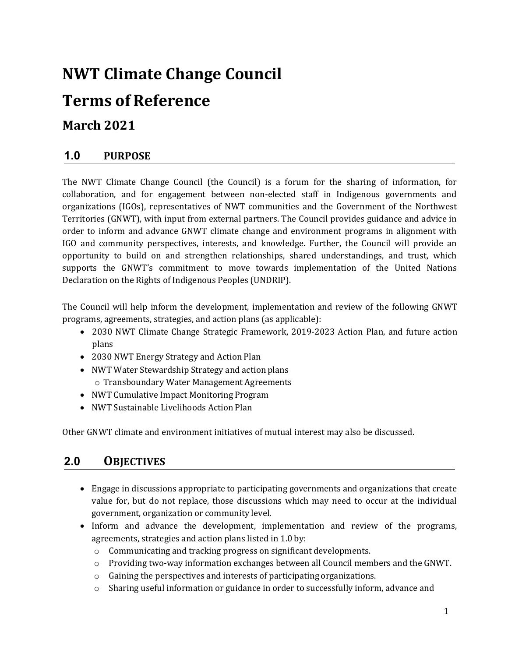# **NWT Climate Change Council**

## **Terms of Reference**

## **March 2021**

## **1.0 PURPOSE**

The NWT Climate Change Council (the Council) is a forum for the sharing of information, for collaboration, and for engagement between non-elected staff in Indigenous governments and organizations (IGOs), representatives of NWT communities and the Government of the Northwest Territories (GNWT), with input from external partners. The Council provides guidance and advice in order to inform and advance GNWT climate change and environment programs in alignment with IGO and community perspectives, interests, and knowledge. Further, the Council will provide an opportunity to build on and strengthen relationships, shared understandings, and trust, which supports the GNWT's commitment to move towards implementation of the United Nations Declaration on the Rights of Indigenous Peoples (UNDRIP).

The Council will help inform the development, implementation and review of the following GNWT programs, agreements, strategies, and action plans (as applicable):

- 2030 NWT Climate Change Strategic Framework, 2019-2023 Action Plan, and future action plans
- 2030 NWT Energy Strategy and Action Plan
- NWT Water Stewardship Strategy and action plans o Transboundary Water Management Agreements
- NWT Cumulative Impact Monitoring Program
- NWT Sustainable Livelihoods Action Plan

Other GNWT climate and environment initiatives of mutual interest may also be discussed.

## **2.0 OBJECTIVES**

- Engage in discussions appropriate to participating governments and organizations that create value for, but do not replace, those discussions which may need to occur at the individual government, organization or community level.
- Inform and advance the development, implementation and review of the programs, agreements, strategies and action plans listed in 1.0 by:
	- o Communicating and tracking progress on significant developments.
	- o Providing two-way information exchanges between all Council members and the GNWT.
	- o Gaining the perspectives and interests of participating organizations.
	- o Sharing useful information or guidance in order to successfully inform, advance and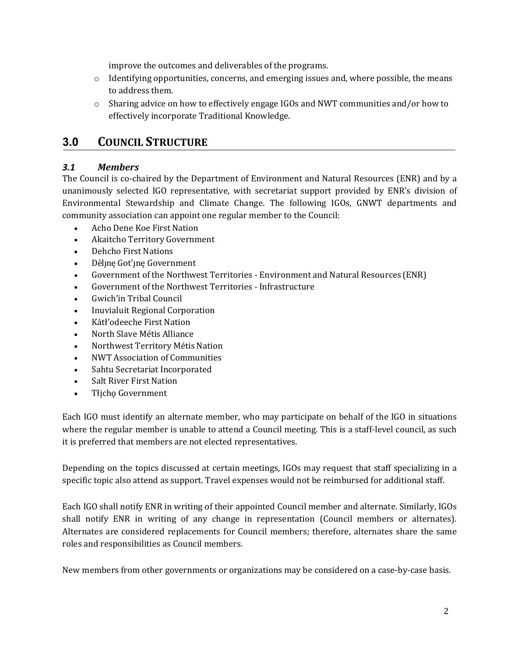improve the outcomes and deliverables of the programs.

- $\circ$  Identifying opportunities, concerns, and emerging issues and, where possible, the means to address them.
- o Sharing advice on how to effectively engage IGOs and NWT communities and/or how to effectively incorporate Traditional Knowledge.

## **3.0 COUNCIL STRUCTURE**

#### *3.1 Members*

The Council is co-chaired by the Department of Environment and Natural Resources (ENR) and by a unanimously selected IGO representative, with secretariat support provided by ENR's division of Environmental Stewardship and Climate Change. The following IGOs, GNWT departments and community association can appoint one regular member to the Council:

- Acho Dene Koe First Nation
- Akaitcho Territory Government
- Dehcho First Nations
- Délinę Got'inę Government
- Government of the Northwest Territories Environment and Natural Resources (ENR)
- Government of the Northwest Territories Infrastructure
- Gwich'in Tribal Council
- Inuvialuit Regional Corporation
- Kátł'odeeche First Nation
- North Slave Métis Alliance
- Northwest Territory Métis Nation
- NWT Association of Communities
- Sahtu Secretariat Incorporated
- Salt River First Nation
- Tłįchǫ Government

Each IGO must identify an alternate member, who may participate on behalf of the IGO in situations where the regular member is unable to attend a Council meeting. This is a staff-level council, as such it is preferred that members are not elected representatives.

Depending on the topics discussed at certain meetings, IGOs may request that staff specializing in a specific topic also attend as support. Travel expenses would not be reimbursed for additional staff.

Each IGO shall notify ENR in writing of their appointed Council member and alternate. Similarly, IGOs shall notify ENR in writing of any change in representation (Council members or alternates). Alternates are considered replacements for Council members; therefore, alternates share the same roles and responsibilities as Council members.

New members from other governments or organizations may be considered on a case-by-case basis.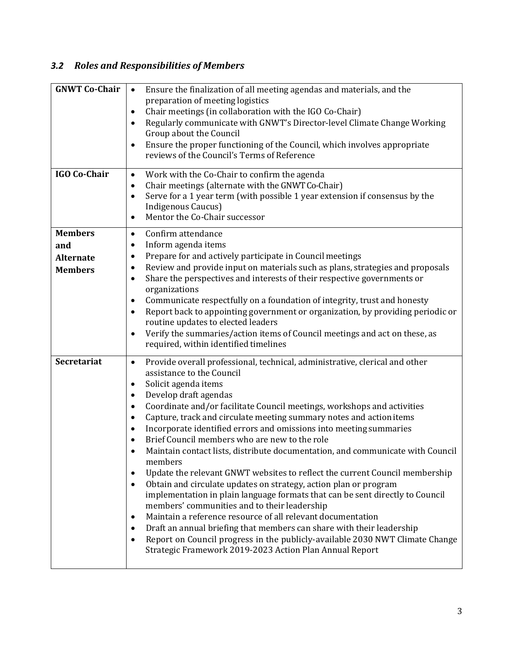## *3.2 Roles and Responsibilities of Members*

| <b>GNWT Co-Chair</b>                                        | Ensure the finalization of all meeting agendas and materials, and the<br>$\bullet$<br>preparation of meeting logistics<br>Chair meetings (in collaboration with the IGO Co-Chair)<br>٠<br>Regularly communicate with GNWT's Director-level Climate Change Working<br>Group about the Council<br>Ensure the proper functioning of the Council, which involves appropriate<br>$\bullet$<br>reviews of the Council's Terms of Reference                                                                                                                                                                                                                                                                                                                                                                                                                                                                                                                                                                                                                                                                                                                                     |
|-------------------------------------------------------------|--------------------------------------------------------------------------------------------------------------------------------------------------------------------------------------------------------------------------------------------------------------------------------------------------------------------------------------------------------------------------------------------------------------------------------------------------------------------------------------------------------------------------------------------------------------------------------------------------------------------------------------------------------------------------------------------------------------------------------------------------------------------------------------------------------------------------------------------------------------------------------------------------------------------------------------------------------------------------------------------------------------------------------------------------------------------------------------------------------------------------------------------------------------------------|
| <b>IGO Co-Chair</b>                                         | Work with the Co-Chair to confirm the agenda<br>$\bullet$<br>Chair meetings (alternate with the GNWT Co-Chair)<br>٠<br>Serve for a 1 year term (with possible 1 year extension if consensus by the<br>٠<br>Indigenous Caucus)<br>Mentor the Co-Chair successor<br>$\bullet$                                                                                                                                                                                                                                                                                                                                                                                                                                                                                                                                                                                                                                                                                                                                                                                                                                                                                              |
| <b>Members</b><br>and<br><b>Alternate</b><br><b>Members</b> | Confirm attendance<br>$\bullet$<br>Inform agenda items<br>٠<br>Prepare for and actively participate in Council meetings<br>٠<br>Review and provide input on materials such as plans, strategies and proposals<br>Share the perspectives and interests of their respective governments or<br>$\bullet$<br>organizations<br>Communicate respectfully on a foundation of integrity, trust and honesty<br>٠<br>Report back to appointing government or organization, by providing periodic or<br>٠<br>routine updates to elected leaders<br>Verify the summaries/action items of Council meetings and act on these, as<br>$\bullet$<br>required, within identified timelines                                                                                                                                                                                                                                                                                                                                                                                                                                                                                                 |
| <b>Secretariat</b>                                          | Provide overall professional, technical, administrative, clerical and other<br>$\bullet$<br>assistance to the Council<br>Solicit agenda items<br>٠<br>Develop draft agendas<br>٠<br>Coordinate and/or facilitate Council meetings, workshops and activities<br>Capture, track and circulate meeting summary notes and action items<br>٠<br>Incorporate identified errors and omissions into meeting summaries<br>$\bullet$<br>Brief Council members who are new to the role<br>Maintain contact lists, distribute documentation, and communicate with Council<br>members<br>Update the relevant GNWT websites to reflect the current Council membership<br>٠<br>Obtain and circulate updates on strategy, action plan or program<br>٠<br>implementation in plain language formats that can be sent directly to Council<br>members' communities and to their leadership<br>Maintain a reference resource of all relevant documentation<br>٠<br>Draft an annual briefing that members can share with their leadership<br>٠<br>Report on Council progress in the publicly-available 2030 NWT Climate Change<br>٠<br>Strategic Framework 2019-2023 Action Plan Annual Report |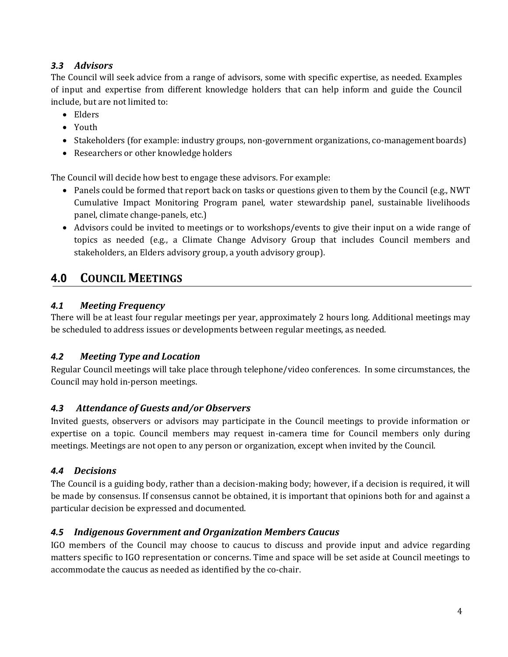## *3.3 Advisors*

The Council will seek advice from a range of advisors, some with specific expertise, as needed. Examples of input and expertise from different knowledge holders that can help inform and guide the Council include, but are not limited to:

- Elders
- Youth
- Stakeholders (for example: industry groups, non-government organizations, co-managementboards)
- Researchers or other knowledge holders

The Council will decide how best to engage these advisors. For example:

- Panels could be formed that report back on tasks or questions given to them by the Council (e.g., NWT) Cumulative Impact Monitoring Program panel, water stewardship panel, sustainable livelihoods panel, climate change-panels, etc.)
- Advisors could be invited to meetings or to workshops/events to give their input on a wide range of topics as needed (e.g., a Climate Change Advisory Group that includes Council members and stakeholders, an Elders advisory group, a youth advisory group).

## **4.0 COUNCIL MEETINGS**

### *4.1 Meeting Frequency*

There will be at least four regular meetings per year, approximately 2 hours long. Additional meetings may be scheduled to address issues or developments between regular meetings, as needed.

### *4.2 Meeting Type and Location*

Regular Council meetings will take place through telephone/video conferences. In some circumstances, the Council may hold in-person meetings.

### *4.3 Attendance of Guests and/or Observers*

Invited guests, observers or advisors may participate in the Council meetings to provide information or expertise on a topic. Council members may request in-camera time for Council members only during meetings. Meetings are not open to any person or organization, except when invited by the Council.

### *4.4 Decisions*

The Council is a guiding body, rather than a decision-making body; however, if a decision is required, it will be made by consensus. If consensus cannot be obtained, it is important that opinions both for and against a particular decision be expressed and documented.

### *4.5 Indigenous Government and Organization Members Caucus*

IGO members of the Council may choose to caucus to discuss and provide input and advice regarding matters specific to IGO representation or concerns. Time and space will be set aside at Council meetings to accommodate the caucus as needed as identified by the co-chair.